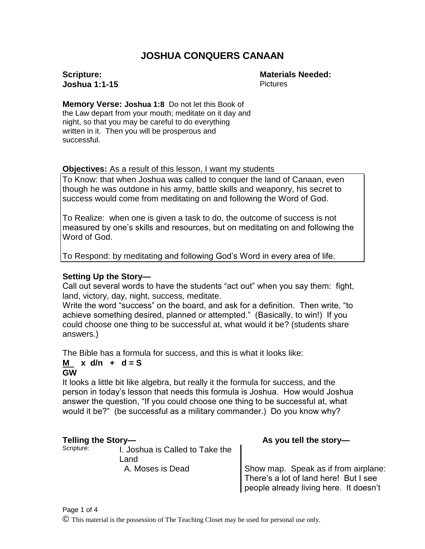# **JOSHUA CONQUERS CANAAN**

#### **Scripture: Joshua 1:1-15**

**Materials Needed: Pictures** 

**Memory Verse: Joshua 1:8** Do not let this Book of the Law depart from your mouth; meditate on it day and night, so that you may be careful to do everything written in it. Then you will be prosperous and successful.

#### **Objectives:** As a result of this lesson, I want my students

To Know: that when Joshua was called to conquer the land of Canaan, even though he was outdone in his army, battle skills and weaponry, his secret to success would come from meditating on and following the Word of God.

To Realize: when one is given a task to do, the outcome of success is not measured by one's skills and resources, but on meditating on and following the Word of God.

To Respond: by meditating and following God's Word in every area of life.

## **Setting Up the Story—**

Call out several words to have the students "act out" when you say them: fight, land, victory, day, night, success, meditate.

Write the word "success" on the board, and ask for a definition. Then write, "to achieve something desired, planned or attempted." (Basically, to win!) If you could choose one thing to be successful at, what would it be? (students share answers.)

The Bible has a formula for success, and this is what it looks like:

#### $M \times d/n + d = S$ **GW**

It looks a little bit like algebra, but really it the formula for success, and the person in today's lesson that needs this formula is Joshua. How would Joshua answer the question, "If you could choose one thing to be successful at, what would it be?" (be successful as a military commander.) Do you know why?

Scripture: **I.** Joshua is Called to Take the Land

**Telling the Story—** As you tell the story—

A. Moses is Dead **Show map.** Speak as if from airplane: There's a lot of land here! But I see people already living here. It doesn't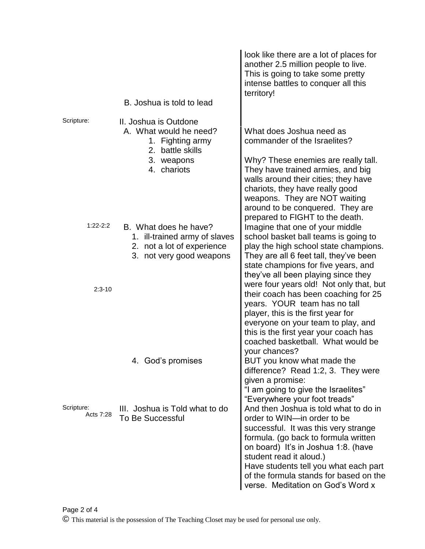|                         | B. Joshua is told to lead                                                                                            | look like there are a lot of places for<br>another 2.5 million people to live.<br>This is going to take some pretty<br>intense battles to conquer all this<br>territory!                                                                                                                                                                       |
|-------------------------|----------------------------------------------------------------------------------------------------------------------|------------------------------------------------------------------------------------------------------------------------------------------------------------------------------------------------------------------------------------------------------------------------------------------------------------------------------------------------|
| Scripture:              | II. Joshua is Outdone<br>A. What would he need?<br>1. Fighting army<br>2. battle skills<br>3. weapons<br>4. chariots | What does Joshua need as<br>commander of the Israelites?<br>Why? These enemies are really tall.<br>They have trained armies, and big<br>walls around their cities; they have<br>chariots, they have really good<br>weapons. They are NOT waiting<br>around to be conquered. They are                                                           |
| $1:22-2:2$              | B. What does he have?<br>1. ill-trained army of slaves<br>2. not a lot of experience<br>3. not very good weapons     | prepared to FIGHT to the death.<br>Imagine that one of your middle<br>school basket ball teams is going to<br>play the high school state champions.<br>They are all 6 feet tall, they've been<br>state champions for five years, and<br>they've all been playing since they                                                                    |
| $2:3 - 10$              |                                                                                                                      | were four years old! Not only that, but<br>their coach has been coaching for 25<br>years. YOUR team has no tall<br>player, this is the first year for<br>everyone on your team to play, and<br>this is the first year your coach has<br>coached basketball. What would be<br>your chances?                                                     |
|                         | 4. God's promises                                                                                                    | BUT you know what made the<br>difference? Read 1:2, 3. They were<br>given a promise:<br>"I am going to give the Israelites"<br>"Everywhere your foot treads"                                                                                                                                                                                   |
| Scripture:<br>Acts 7:28 | III. Joshua is Told what to do<br>To Be Successful                                                                   | And then Joshua is told what to do in<br>order to WIN-in order to be<br>successful. It was this very strange<br>formula. (go back to formula written<br>on board) It's in Joshua 1:8. (have<br>student read it aloud.)<br>Have students tell you what each part<br>of the formula stands for based on the<br>verse. Meditation on God's Word x |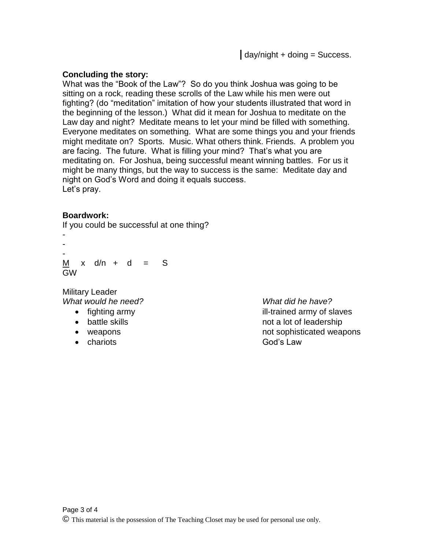## **Concluding the story:**

What was the "Book of the Law"? So do you think Joshua was going to be sitting on a rock, reading these scrolls of the Law while his men were out fighting? (do "meditation" imitation of how your students illustrated that word in the beginning of the lesson.) What did it mean for Joshua to meditate on the Law day and night? Meditate means to let your mind be filled with something. Everyone meditates on something. What are some things you and your friends might meditate on? Sports. Music. What others think. Friends. A problem you are facing. The future. What is filling your mind? That's what you are meditating on. For Joshua, being successful meant winning battles. For us it might be many things, but the way to success is the same: Meditate day and night on God's Word and doing it equals success. Let's pray.

## **Boardwork:**

If you could be successful at one thing?

- - -  $M \times d/n + d = S$ GW

Military Leader *What would he need? What did he have?*

- 
- 
- 
- chariots God's Law

• fighting army **ill-trained army of slaves** • battle skills not a lot of leadership • weapons **exercise that is a more sometime of sophisticated weapons**